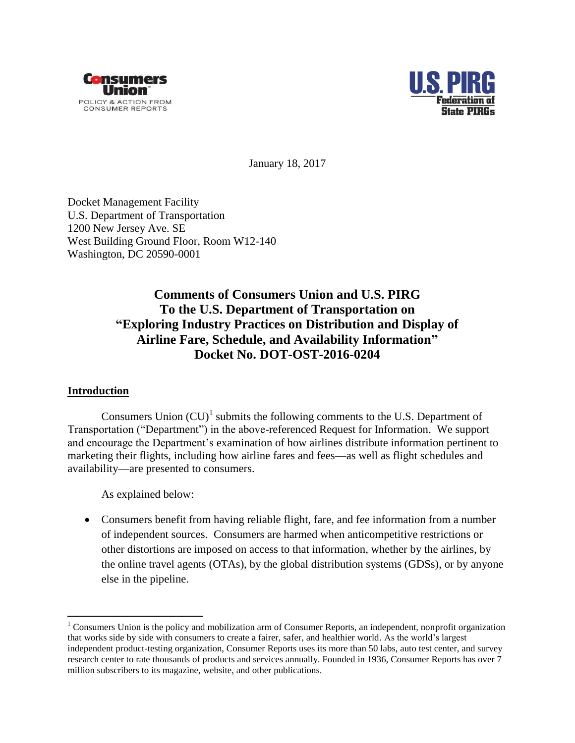



January 18, 2017

Docket Management Facility U.S. Department of Transportation 1200 New Jersey Ave. SE West Building Ground Floor, Room W12-140 Washington, DC 20590-0001

# **Comments of Consumers Union and U.S. PIRG To the U.S. Department of Transportation on "Exploring Industry Practices on Distribution and Display of Airline Fare, Schedule, and Availability Information" Docket No. DOT-OST-2016-0204**

## **Introduction**

 $\overline{a}$ 

Consumers Union  $(CU)^{1}$  submits the following comments to the U.S. Department of Transportation ("Department") in the above-referenced Request for Information. We support and encourage the Department's examination of how airlines distribute information pertinent to marketing their flights, including how airline fares and fees—as well as flight schedules and availability—are presented to consumers.

As explained below:

 Consumers benefit from having reliable flight, fare, and fee information from a number of independent sources. Consumers are harmed when anticompetitive restrictions or other distortions are imposed on access to that information, whether by the airlines, by the online travel agents (OTAs), by the global distribution systems (GDSs), or by anyone else in the pipeline.

 $1$  Consumers Union is the policy and mobilization arm of Consumer Reports, an independent, nonprofit organization that works side by side with consumers to create a fairer, safer, and healthier world. As the world's largest independent product-testing organization, Consumer Reports uses its more than 50 labs, auto test center, and survey research center to rate thousands of products and services annually. Founded in 1936, Consumer Reports has over 7 million subscribers to its magazine, website, and other publications.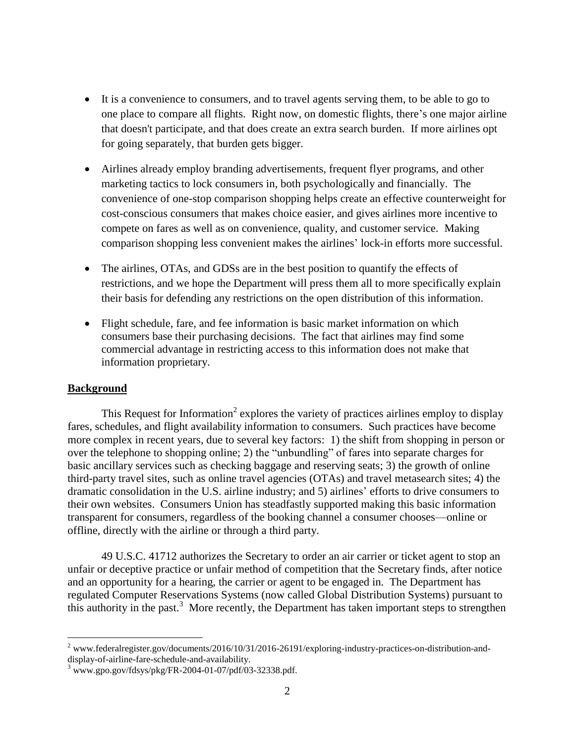- It is a convenience to consumers, and to travel agents serving them, to be able to go to one place to compare all flights. Right now, on domestic flights, there's one major airline that doesn't participate, and that does create an extra search burden. If more airlines opt for going separately, that burden gets bigger.
- Airlines already employ branding advertisements, frequent flyer programs, and other marketing tactics to lock consumers in, both psychologically and financially. The convenience of one-stop comparison shopping helps create an effective counterweight for cost-conscious consumers that makes choice easier, and gives airlines more incentive to compete on fares as well as on convenience, quality, and customer service. Making comparison shopping less convenient makes the airlines' lock-in efforts more successful.
- The airlines, OTAs, and GDSs are in the best position to quantify the effects of restrictions, and we hope the Department will press them all to more specifically explain their basis for defending any restrictions on the open distribution of this information.
- Flight schedule, fare, and fee information is basic market information on which consumers base their purchasing decisions. The fact that airlines may find some commercial advantage in restricting access to this information does not make that information proprietary.

## **Background**

 $\overline{a}$ 

This Request for Information<sup>2</sup> explores the variety of practices airlines employ to display fares, schedules, and flight availability information to consumers. Such practices have become more complex in recent years, due to several key factors: 1) the shift from shopping in person or over the telephone to shopping online; 2) the "unbundling" of fares into separate charges for basic ancillary services such as checking baggage and reserving seats; 3) the growth of online third-party travel sites, such as online travel agencies (OTAs) and travel metasearch sites; 4) the dramatic consolidation in the U.S. airline industry; and 5) airlines' efforts to drive consumers to their own websites. Consumers Union has steadfastly supported making this basic information transparent for consumers, regardless of the booking channel a consumer chooses—online or offline, directly with the airline or through a third party.

49 U.S.C. 41712 authorizes the Secretary to order an air carrier or ticket agent to stop an unfair or deceptive practice or unfair method of competition that the Secretary finds, after notice and an opportunity for a hearing, the carrier or agent to be engaged in. The Department has regulated Computer Reservations Systems (now called Global Distribution Systems) pursuant to this authority in the past.<sup>3</sup> More recently, the Department has taken important steps to strengthen

<sup>&</sup>lt;sup>2</sup> www.federalregister.gov/documents/2016/10/31/2016-26191/exploring-industry-practices-on-distribution-anddisplay-of-airline-fare-schedule-and-availability.

 $3$  www.gpo.gov/fdsys/pkg/FR-2004-01-07/pdf/03-32338.pdf.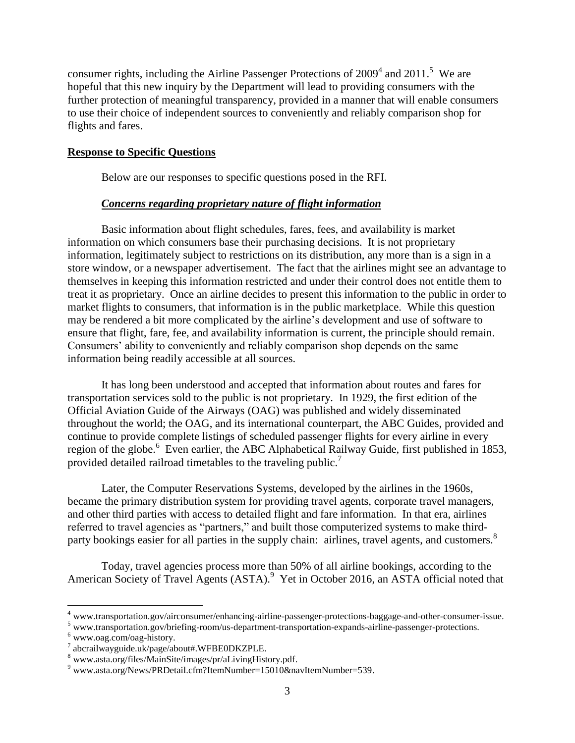consumer rights, including the Airline Passenger Protections of  $2009<sup>4</sup>$  and  $2011<sup>5</sup>$  We are hopeful that this new inquiry by the Department will lead to providing consumers with the further protection of meaningful transparency, provided in a manner that will enable consumers to use their choice of independent sources to conveniently and reliably comparison shop for flights and fares.

### **Response to Specific Questions**

Below are our responses to specific questions posed in the RFI.

#### *Concerns regarding proprietary nature of flight information*

Basic information about flight schedules, fares, fees, and availability is market information on which consumers base their purchasing decisions. It is not proprietary information, legitimately subject to restrictions on its distribution, any more than is a sign in a store window, or a newspaper advertisement. The fact that the airlines might see an advantage to themselves in keeping this information restricted and under their control does not entitle them to treat it as proprietary. Once an airline decides to present this information to the public in order to market flights to consumers, that information is in the public marketplace. While this question may be rendered a bit more complicated by the airline's development and use of software to ensure that flight, fare, fee, and availability information is current, the principle should remain. Consumers' ability to conveniently and reliably comparison shop depends on the same information being readily accessible at all sources.

It has long been understood and accepted that information about routes and fares for transportation services sold to the public is not proprietary. In 1929, the first edition of the Official Aviation Guide of the Airways (OAG) was published and widely disseminated throughout the world; the OAG, and its international counterpart, the ABC Guides, provided and continue to provide complete listings of scheduled passenger flights for every airline in every region of the globe.<sup>6</sup> Even earlier, the ABC Alphabetical Railway Guide, first published in 1853, provided detailed railroad timetables to the traveling public.<sup>7</sup>

Later, the Computer Reservations Systems, developed by the airlines in the 1960s, became the primary distribution system for providing travel agents, corporate travel managers, and other third parties with access to detailed flight and fare information. In that era, airlines referred to travel agencies as "partners," and built those computerized systems to make thirdparty bookings easier for all parties in the supply chain: airlines, travel agents, and customers.<sup>8</sup>

Today, travel agencies process more than 50% of all airline bookings, according to the American Society of Travel Agents (ASTA).<sup>9</sup> Yet in October 2016, an ASTA official noted that

<sup>4</sup> www.transportation.gov/airconsumer/enhancing-airline-passenger-protections-baggage-and-other-consumer-issue.

<sup>5</sup> www.transportation.gov/briefing-room/us-department-transportation-expands-airline-passenger-protections.

<sup>6</sup> www.oag.com/oag-history.

<sup>7</sup> abcrailwayguide.uk/page/about#.WFBE0DKZPLE.

<sup>8</sup> www.asta.org/files/MainSite/images/pr/aLivingHistory.pdf.

<sup>9</sup> www.asta.org/News/PRDetail.cfm?ItemNumber=15010&navItemNumber=539.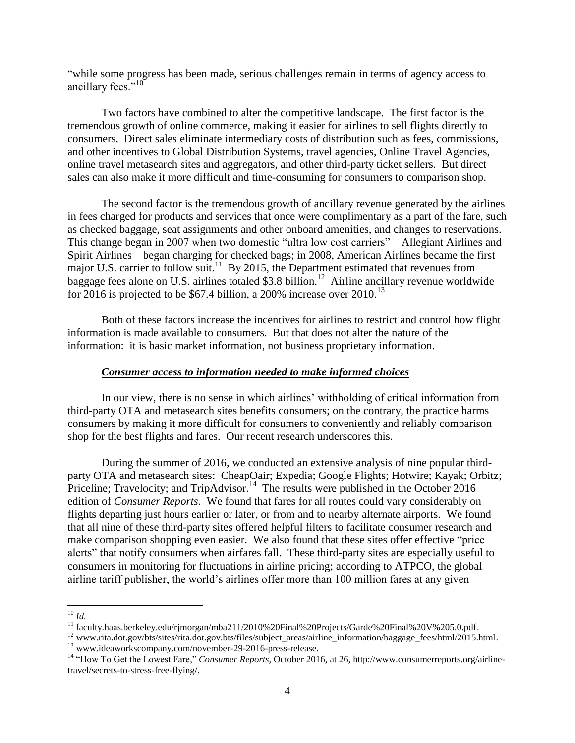"while some progress has been made, serious challenges remain in terms of agency access to ancillary fees."<sup>10</sup>

Two factors have combined to alter the competitive landscape. The first factor is the tremendous growth of online commerce, making it easier for airlines to sell flights directly to consumers. Direct sales eliminate intermediary costs of distribution such as fees, commissions, and other incentives to Global Distribution Systems, travel agencies, Online Travel Agencies, online travel metasearch sites and aggregators, and other third-party ticket sellers. But direct sales can also make it more difficult and time-consuming for consumers to comparison shop.

The second factor is the tremendous growth of ancillary revenue generated by the airlines in fees charged for products and services that once were complimentary as a part of the fare, such as checked baggage, seat assignments and other onboard amenities, and changes to reservations. This change began in 2007 when two domestic "ultra low cost carriers"—Allegiant Airlines and Spirit Airlines—began charging for checked bags; in 2008, American Airlines became the first major U.S. carrier to follow suit.<sup>11</sup> By 2015, the Department estimated that revenues from baggage fees alone on U.S. airlines totaled \$3.8 billion.<sup>12</sup> Airline ancillary revenue worldwide for 2016 is projected to be \$67.4 billion, a 200% increase over  $2010$ .<sup>13</sup>

Both of these factors increase the incentives for airlines to restrict and control how flight information is made available to consumers. But that does not alter the nature of the information: it is basic market information, not business proprietary information.

#### *Consumer access to information needed to make informed choices*

In our view, there is no sense in which airlines' withholding of critical information from third-party OTA and metasearch sites benefits consumers; on the contrary, the practice harms consumers by making it more difficult for consumers to conveniently and reliably comparison shop for the best flights and fares. Our recent research underscores this.

During the summer of 2016, we conducted an extensive analysis of nine popular thirdparty OTA and metasearch sites: CheapOair; Expedia; Google Flights; Hotwire; Kayak; Orbitz; Priceline; Travelocity; and TripAdvisor.<sup>14</sup> The results were published in the October 2016 edition of *Consumer Reports*. We found that fares for all routes could vary considerably on flights departing just hours earlier or later, or from and to nearby alternate airports. We found that all nine of these third-party sites offered helpful filters to facilitate consumer research and make comparison shopping even easier. We also found that these sites offer effective "price alerts" that notify consumers when airfares fall. These third-party sites are especially useful to consumers in monitoring for fluctuations in airline pricing; according to ATPCO, the global airline tariff publisher, the world's airlines offer more than 100 million fares at any given

 $\overline{a}$ <sup>10</sup> *Id.*

<sup>&</sup>lt;sup>11</sup> faculty.haas.berkeley.edu/rjmorgan/mba211/2010%20Final%20Projects/Garde%20Final%20V%205.0.pdf.

<sup>12</sup> www.rita.dot.gov/bts/sites/rita.dot.gov.bts/files/subject\_areas/airline\_information/baggage\_fees/html/2015.html.

<sup>&</sup>lt;sup>13</sup> www.ideaworkscompany.com/november-29-2016-press-release.

<sup>14</sup> "How To Get the Lowest Fare," *Consumer Reports*, October 2016, at 26, http://www.consumerreports.org/airlinetravel/secrets-to-stress-free-flying/.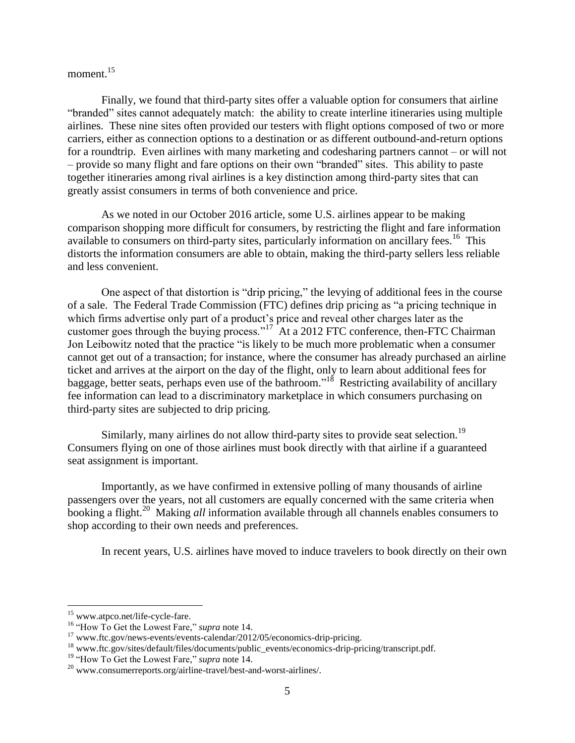moment.<sup>15</sup>

Finally, we found that third-party sites offer a valuable option for consumers that airline "branded" sites cannot adequately match: the ability to create interline itineraries using multiple airlines. These nine sites often provided our testers with flight options composed of two or more carriers, either as connection options to a destination or as different outbound-and-return options for a roundtrip. Even airlines with many marketing and codesharing partners cannot – or will not – provide so many flight and fare options on their own "branded" sites. This ability to paste together itineraries among rival airlines is a key distinction among third-party sites that can greatly assist consumers in terms of both convenience and price.

As we noted in our October 2016 article, some U.S. airlines appear to be making comparison shopping more difficult for consumers, by restricting the flight and fare information available to consumers on third-party sites, particularly information on ancillary fees.<sup>16</sup> This distorts the information consumers are able to obtain, making the third-party sellers less reliable and less convenient.

One aspect of that distortion is "drip pricing," the levying of additional fees in the course of a sale. The Federal Trade Commission (FTC) defines drip pricing as "a pricing technique in which firms advertise only part of a product's price and reveal other charges later as the customer goes through the buying process."<sup>17</sup> At a 2012 FTC conference, then-FTC Chairman Jon Leibowitz noted that the practice "is likely to be much more problematic when a consumer cannot get out of a transaction; for instance, where the consumer has already purchased an airline ticket and arrives at the airport on the day of the flight, only to learn about additional fees for baggage, better seats, perhaps even use of the bathroom."<sup>18</sup> Restricting availability of ancillary fee information can lead to a discriminatory marketplace in which consumers purchasing on third-party sites are subjected to drip pricing.

Similarly, many airlines do not allow third-party sites to provide seat selection.<sup>19</sup> Consumers flying on one of those airlines must book directly with that airline if a guaranteed seat assignment is important.

Importantly, as we have confirmed in extensive polling of many thousands of airline passengers over the years, not all customers are equally concerned with the same criteria when booking a flight.<sup>20</sup> Making *all* information available through all channels enables consumers to shop according to their own needs and preferences.

In recent years, U.S. airlines have moved to induce travelers to book directly on their own

<sup>&</sup>lt;sup>15</sup> www.atpco.net/life-cycle-fare.

<sup>16</sup> "How To Get the Lowest Fare," *supra* note 14.

<sup>&</sup>lt;sup>17</sup> www.ftc.gov/news-events/events-calendar/2012/05/economics-drip-pricing.

<sup>18</sup> www.ftc.gov/sites/default/files/documents/public\_events/economics-drip-pricing/transcript.pdf.

<sup>19</sup> "How To Get the Lowest Fare," *supra* note 14.

<sup>20</sup> www.consumerreports.org/airline-travel/best-and-worst-airlines/.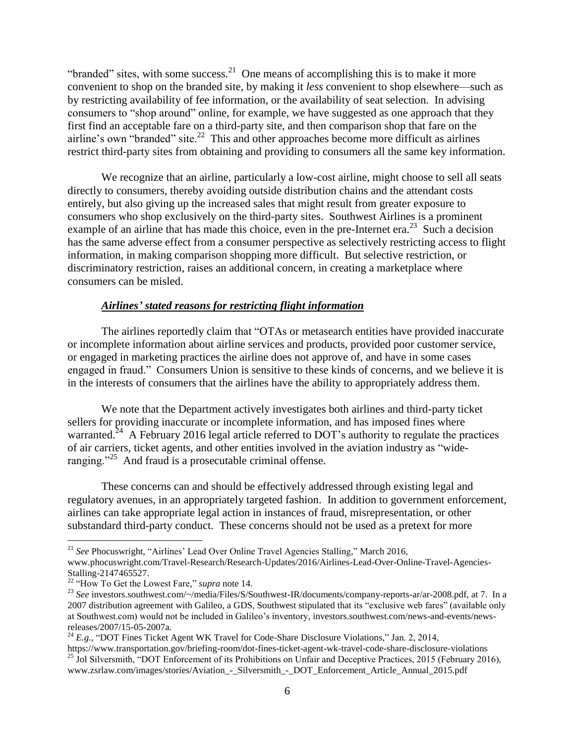"branded" sites, with some success.<sup>21</sup> One means of accomplishing this is to make it more convenient to shop on the branded site, by making it *less* convenient to shop elsewhere—such as by restricting availability of fee information, or the availability of seat selection. In advising consumers to "shop around" online, for example, we have suggested as one approach that they first find an acceptable fare on a third-party site, and then comparison shop that fare on the airline's own "branded" site.<sup>22</sup> This and other approaches become more difficult as airlines restrict third-party sites from obtaining and providing to consumers all the same key information.

We recognize that an airline, particularly a low-cost airline, might choose to sell all seats directly to consumers, thereby avoiding outside distribution chains and the attendant costs entirely, but also giving up the increased sales that might result from greater exposure to consumers who shop exclusively on the third-party sites. Southwest Airlines is a prominent example of an airline that has made this choice, even in the pre-Internet era.<sup>23</sup> Such a decision has the same adverse effect from a consumer perspective as selectively restricting access to flight information, in making comparison shopping more difficult. But selective restriction, or discriminatory restriction, raises an additional concern, in creating a marketplace where consumers can be misled.

## *Airlines' stated reasons for restricting flight information*

The airlines reportedly claim that "OTAs or metasearch entities have provided inaccurate or incomplete information about airline services and products, provided poor customer service, or engaged in marketing practices the airline does not approve of, and have in some cases engaged in fraud." Consumers Union is sensitive to these kinds of concerns, and we believe it is in the interests of consumers that the airlines have the ability to appropriately address them.

We note that the Department actively investigates both airlines and third-party ticket sellers for providing inaccurate or incomplete information, and has imposed fines where warranted.<sup>24</sup> A February 2016 legal article referred to DOT's authority to regulate the practices of air carriers, ticket agents, and other entities involved in the aviation industry as "wideranging. $2^{25}$  And fraud is a prosecutable criminal offense.

These concerns can and should be effectively addressed through existing legal and regulatory avenues, in an appropriately targeted fashion. In addition to government enforcement, airlines can take appropriate legal action in instances of fraud, misrepresentation, or other substandard third-party conduct. These concerns should not be used as a pretext for more

<sup>21</sup> *See* Phocuswright, "Airlines' Lead Over Online Travel Agencies Stalling," March 2016,

www.phocuswright.com/Travel-Research/Research-Updates/2016/Airlines-Lead-Over-Online-Travel-Agencies-Stalling-2147465527.

<sup>22</sup> "How To Get the Lowest Fare," *supra* note 14.

<sup>23</sup> *See* investors.southwest.com/~/media/Files/S/Southwest-IR/documents/company-reports-ar/ar-2008.pdf, at 7. In a 2007 distribution agreement with Galileo, a GDS, Southwest stipulated that its "exclusive web fares" (available only at Southwest.com) would not be included in Galileo's inventory, investors.southwest.com/news-and-events/newsreleases/2007/15-05-2007a.

<sup>&</sup>lt;sup>24</sup> E.g., "DOT Fines Ticket Agent WK Travel for Code-Share Disclosure Violations," Jan. 2, 2014,

https://www.transportation.gov/briefing-room/dot-fines-ticket-agent-wk-travel-code-share-disclosure-violations <sup>25</sup> Jol Silversmith, "DOT Enforcement of its Prohibitions on Unfair and Deceptive Practices, 2015 (February 2016), www.zsrlaw.com/images/stories/Aviation\_-\_Silversmith\_-\_DOT\_Enforcement\_Article\_Annual\_2015.pdf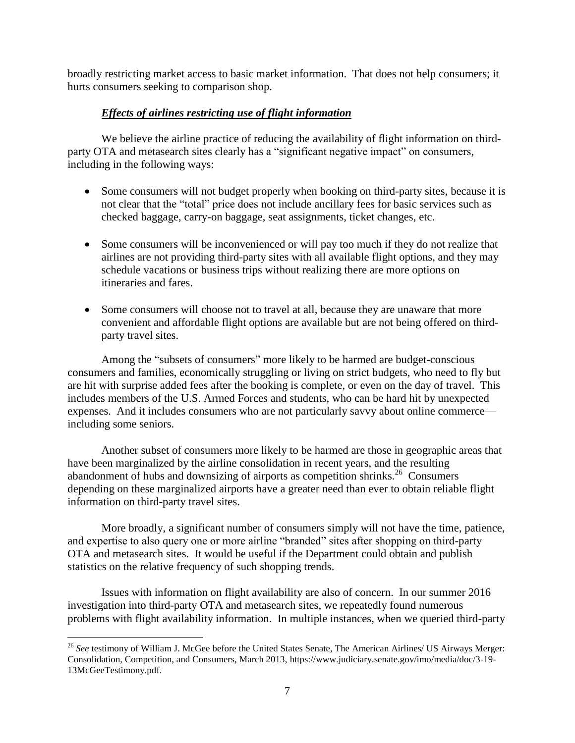broadly restricting market access to basic market information. That does not help consumers; it hurts consumers seeking to comparison shop.

## *Effects of airlines restricting use of flight information*

We believe the airline practice of reducing the availability of flight information on thirdparty OTA and metasearch sites clearly has a "significant negative impact" on consumers, including in the following ways:

- Some consumers will not budget properly when booking on third-party sites, because it is not clear that the "total" price does not include ancillary fees for basic services such as checked baggage, carry-on baggage, seat assignments, ticket changes, etc.
- Some consumers will be inconvenienced or will pay too much if they do not realize that airlines are not providing third-party sites with all available flight options, and they may schedule vacations or business trips without realizing there are more options on itineraries and fares.
- Some consumers will choose not to travel at all, because they are unaware that more convenient and affordable flight options are available but are not being offered on thirdparty travel sites.

Among the "subsets of consumers" more likely to be harmed are budget-conscious consumers and families, economically struggling or living on strict budgets, who need to fly but are hit with surprise added fees after the booking is complete, or even on the day of travel. This includes members of the U.S. Armed Forces and students, who can be hard hit by unexpected expenses. And it includes consumers who are not particularly savvy about online commerce including some seniors.

Another subset of consumers more likely to be harmed are those in geographic areas that have been marginalized by the airline consolidation in recent years, and the resulting abandonment of hubs and downsizing of airports as competition shrinks.<sup>26</sup> Consumers depending on these marginalized airports have a greater need than ever to obtain reliable flight information on third-party travel sites.

More broadly, a significant number of consumers simply will not have the time, patience, and expertise to also query one or more airline "branded" sites after shopping on third-party OTA and metasearch sites. It would be useful if the Department could obtain and publish statistics on the relative frequency of such shopping trends.

Issues with information on flight availability are also of concern. In our summer 2016 investigation into third-party OTA and metasearch sites, we repeatedly found numerous problems with flight availability information. In multiple instances, when we queried third-party

 $\overline{a}$ <sup>26</sup> See testimony of William J. McGee before the United States Senate, The American Airlines/ US Airways Merger: Consolidation, Competition, and Consumers, March 2013, https://www.judiciary.senate.gov/imo/media/doc/3-19- 13McGeeTestimony.pdf.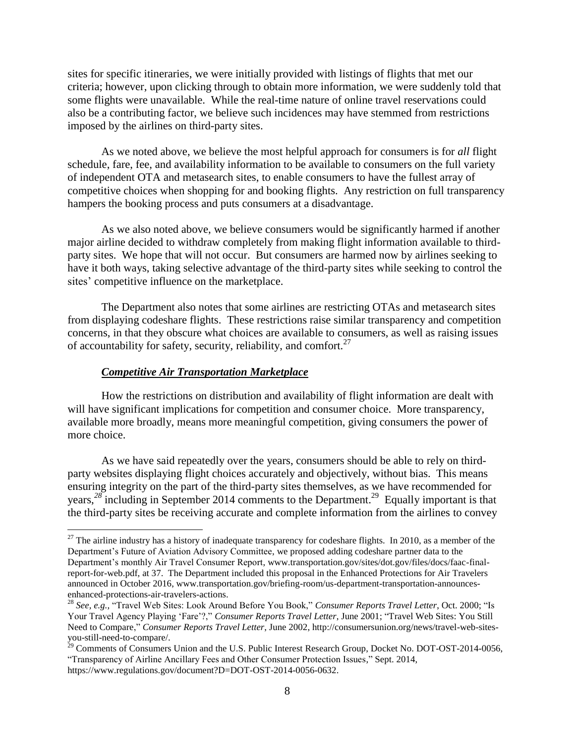sites for specific itineraries, we were initially provided with listings of flights that met our criteria; however, upon clicking through to obtain more information, we were suddenly told that some flights were unavailable. While the real-time nature of online travel reservations could also be a contributing factor, we believe such incidences may have stemmed from restrictions imposed by the airlines on third-party sites.

As we noted above, we believe the most helpful approach for consumers is for *all* flight schedule, fare, fee, and availability information to be available to consumers on the full variety of independent OTA and metasearch sites, to enable consumers to have the fullest array of competitive choices when shopping for and booking flights. Any restriction on full transparency hampers the booking process and puts consumers at a disadvantage.

As we also noted above, we believe consumers would be significantly harmed if another major airline decided to withdraw completely from making flight information available to thirdparty sites. We hope that will not occur. But consumers are harmed now by airlines seeking to have it both ways, taking selective advantage of the third-party sites while seeking to control the sites' competitive influence on the marketplace.

The Department also notes that some airlines are restricting OTAs and metasearch sites from displaying codeshare flights. These restrictions raise similar transparency and competition concerns, in that they obscure what choices are available to consumers, as well as raising issues of accountability for safety, security, reliability, and comfort.<sup>27</sup>

#### *Competitive Air Transportation Marketplace*

 $\overline{a}$ 

How the restrictions on distribution and availability of flight information are dealt with will have significant implications for competition and consumer choice. More transparency, available more broadly, means more meaningful competition, giving consumers the power of more choice.

As we have said repeatedly over the years, consumers should be able to rely on thirdparty websites displaying flight choices accurately and objectively, without bias. This means ensuring integrity on the part of the third-party sites themselves, as we have recommended for years,<sup>28</sup> including in September 2014 comments to the Department.<sup>29</sup> Equally important is that the third-party sites be receiving accurate and complete information from the airlines to convey

 $27$  The airline industry has a history of inadequate transparency for codeshare flights. In 2010, as a member of the Department's Future of Aviation Advisory Committee, we proposed adding codeshare partner data to the Department's monthly Air Travel Consumer Report, www.transportation.gov/sites/dot.gov/files/docs/faac-finalreport-for-web.pdf, at 37. The Department included this proposal in the Enhanced Protections for Air Travelers announced in October 2016, www.transportation.gov/briefing-room/us-department-transportation-announcesenhanced-protections-air-travelers-actions.

<sup>28</sup> *See, e.g.,* "Travel Web Sites: Look Around Before You Book," *Consumer Reports Travel Letter*, Oct. 2000; "Is Your Travel Agency Playing 'Fare'?," *Consumer Reports Travel Letter*, June 2001; "Travel Web Sites: You Still Need to Compare," *Consumer Reports Travel Letter*, June 2002[, http://consumersunion.org/news/travel-web-sites](http://consumersunion.org/news/travel-web-sites-you-still-need-to-compare/)[you-still-need-to-compare/.](http://consumersunion.org/news/travel-web-sites-you-still-need-to-compare/)

 $^{29}$  Comments of Consumers Union and the U.S. Public Interest Research Group, Docket No. DOT-OST-2014-0056, "Transparency of Airline Ancillary Fees and Other Consumer Protection Issues," Sept. 2014, https://www.regulations.gov/document?D=DOT-OST-2014-0056-0632.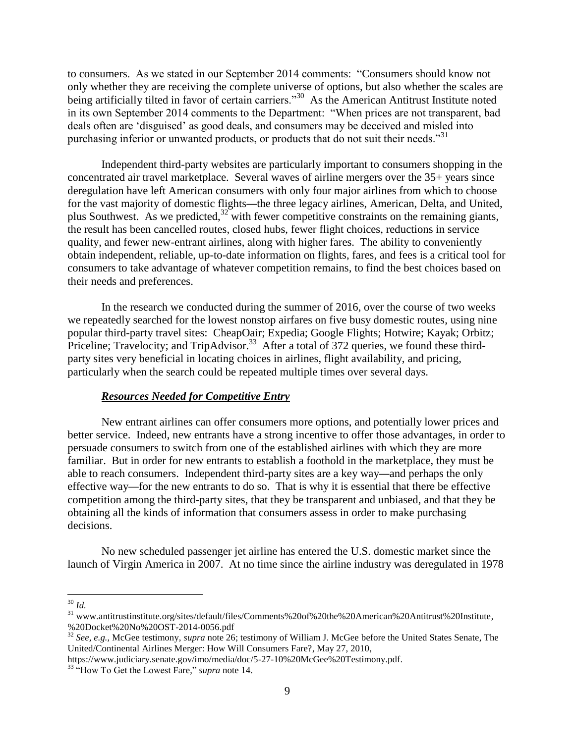to consumers. As we stated in our September 2014 comments: "Consumers should know not only whether they are receiving the complete universe of options, but also whether the scales are being artificially tilted in favor of certain carriers."<sup>30</sup> As the American Antitrust Institute noted in its own September 2014 comments to the Department: "When prices are not transparent, bad deals often are 'disguised' as good deals, and consumers may be deceived and misled into purchasing inferior or unwanted products, or products that do not suit their needs."<sup>31</sup>

Independent third-party websites are particularly important to consumers shopping in the concentrated air travel marketplace. Several waves of airline mergers over the 35+ years since deregulation have left American consumers with only four major airlines from which to choose for the vast majority of domestic flights—the three legacy airlines, American, Delta, and United, plus Southwest. As we predicted, $32\text{ with fewer competitive constraints on the remaining giants}$ , the result has been cancelled routes, closed hubs, fewer flight choices, reductions in service quality, and fewer new-entrant airlines, along with higher fares. The ability to conveniently obtain independent, reliable, up-to-date information on flights, fares, and fees is a critical tool for consumers to take advantage of whatever competition remains, to find the best choices based on their needs and preferences.

In the research we conducted during the summer of 2016, over the course of two weeks we repeatedly searched for the lowest nonstop airfares on five busy domestic routes, using nine popular third-party travel sites: CheapOair; Expedia; Google Flights; Hotwire; Kayak; Orbitz; Priceline; Travelocity; and TripAdvisor.<sup>33</sup> After a total of 372 queries, we found these thirdparty sites very beneficial in locating choices in airlines, flight availability, and pricing, particularly when the search could be repeated multiple times over several days.

#### *Resources Needed for Competitive Entry*

New entrant airlines can offer consumers more options, and potentially lower prices and better service. Indeed, new entrants have a strong incentive to offer those advantages, in order to persuade consumers to switch from one of the established airlines with which they are more familiar. But in order for new entrants to establish a foothold in the marketplace, they must be able to reach consumers. Independent third-party sites are a key way—and perhaps the only effective way—for the new entrants to do so. That is why it is essential that there be effective competition among the third-party sites, that they be transparent and unbiased, and that they be obtaining all the kinds of information that consumers assess in order to make purchasing decisions.

No new scheduled passenger jet airline has entered the U.S. domestic market since the launch of Virgin America in 2007. At no time since the airline industry was deregulated in 1978

<sup>30</sup> *Id.*

<sup>&</sup>lt;sup>31</sup> [www.antitrustinstitute.org/sites/default/files/Comments%20of%20the%20American%20Antitrust%20Institute,](http://www.antitrustinstitute.org/sites/default/files/Comments%20of%20the%20American%20Antitrust%20Institute) %20Docket%20No%20OST-2014-0056.pdf

<sup>32</sup> *See, e.g.,* McGee testimony, *supra* note 26; testimony of William J. McGee before the United States Senate, The United/Continental Airlines Merger: How Will Consumers Fare?, May 27, 2010,

https://www.judiciary.senate.gov/imo/media/doc/5-27-10%20McGee%20Testimony.pdf.

<sup>33</sup> "How To Get the Lowest Fare," *supra* note 14.